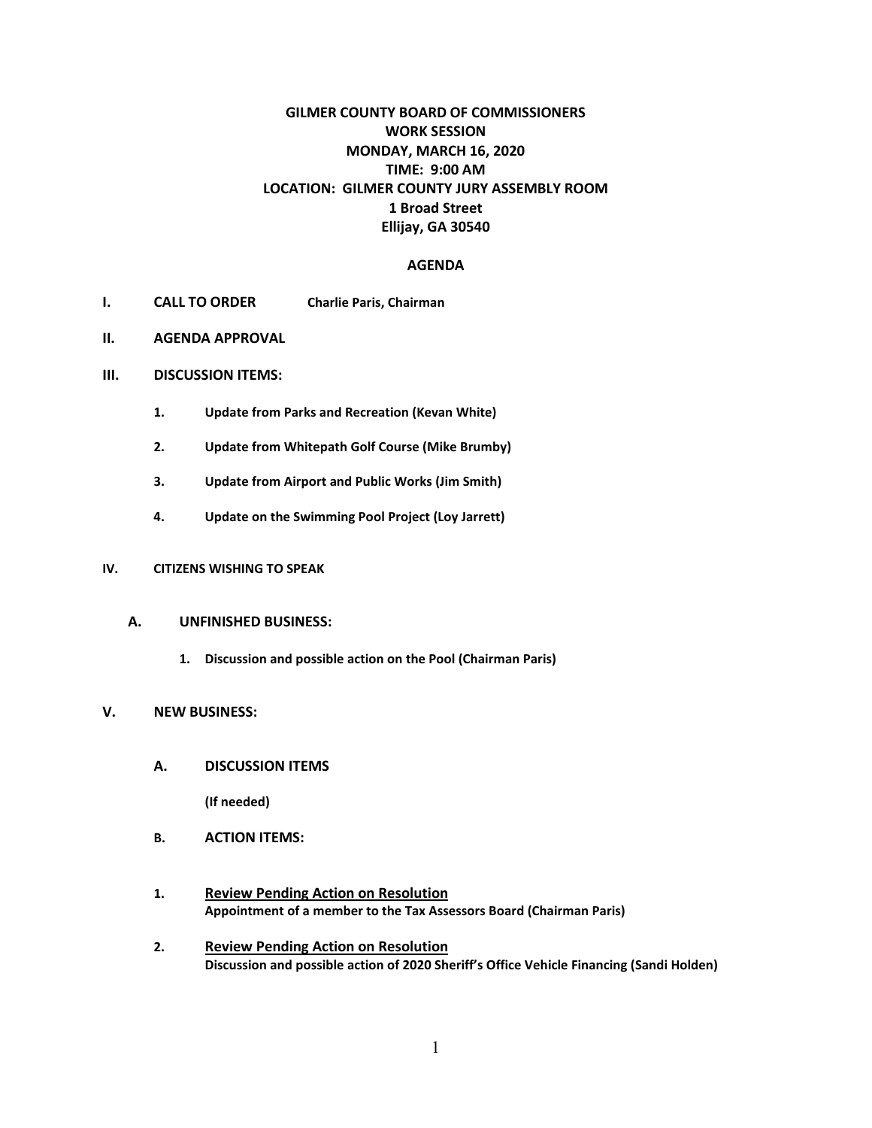# **GILMER COUNTY BOARD OF COMMISSIONERS WORK SESSION MONDAY, MARCH 16, 2020 TIME: 9:00 AM LOCATION: GILMER COUNTY JURY ASSEMBLY ROOM 1 Broad Street Ellijay, GA 30540**

## **AGENDA**

- **I. CALL TO ORDER Charlie Paris, Chairman**
- **II. AGENDA APPROVAL**
- **III. DISCUSSION ITEMS:**
	- **1. Update from Parks and Recreation (Kevan White)**
	- **2. Update from Whitepath Golf Course (Mike Brumby)**
	- **3. Update from Airport and Public Works (Jim Smith)**
	- **4. Update on the Swimming Pool Project (Loy Jarrett)**

### **IV. CITIZENS WISHING TO SPEAK**

### **A. UNFINISHED BUSINESS:**

**1. Discussion and possible action on the Pool (Chairman Paris)**

#### **V. NEW BUSINESS:**

**A. DISCUSSION ITEMS**

**(If needed)**

- **B. ACTION ITEMS:**
- **1. Review Pending Action on Resolution Appointment of a member to the Tax Assessors Board (Chairman Paris)**
- **2. Review Pending Action on Resolution Discussion and possible action of 2020 Sheriff's Office Vehicle Financing (Sandi Holden)**